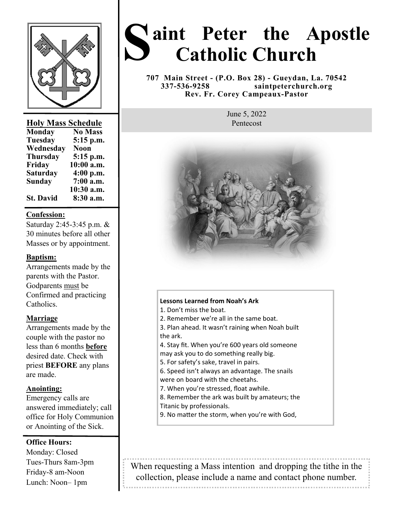

## **Holy Mass Schedule**

| <b>Monday</b>    | <b>No Mass</b> |
|------------------|----------------|
| <b>Tuesday</b>   | 5:15 p.m.      |
| Wednesday        | <b>Noon</b>    |
| <b>Thursday</b>  | 5:15 p.m.      |
| Friday           | 10:00 a.m.     |
| <b>Saturday</b>  | 4:00 p.m.      |
| Sunday           | 7:00 a.m.      |
|                  | 10:30 a.m.     |
| <b>St. David</b> | 8:30 a.m.      |

## **Confession:**

Saturday 2:45-3:45 p.m. & 30 minutes before all other Masses or by appointment.

# **Baptism:**

Arrangements made by the parents with the Pastor. Godparents must be Confirmed and practicing Catholics.

# **Marriage**

Arrangements made by the couple with the pastor no less than 6 months **before**  desired date. Check with priest **BEFORE** any plans are made.

# **Anointing:**

Emergency calls are answered immediately; call office for Holy Communion or Anointing of the Sick.

# **Office Hours:**

Monday: Closed Tues-Thurs 8am-3pm Friday-8 am-Noon Lunch: Noon– 1pm

# **S aint Peter the Apostle Catholic Church**

**707 Main Street - (P.O. Box 28) - Gueydan, La. 70542 337-536-9258 saintpeterchurch.org Rev. Fr. Corey Campeaux-Pastor** 

> June 5, 2022 Pentecost



#### **Lessons Learned from Noah's Ark**

1. Don't miss the boat.

- 2. Remember we're all in the same boat.
- 3. Plan ahead. It wasn't raining when Noah built the ark.
- 4. Stay fit. When you're 600 years old someone may ask you to do something really big.
- 5. For safety's sake, travel in pairs.
- 6. Speed isn't always an advantage. The snails were on board with the cheetahs.
- 7. When you're stressed, float awhile.
- 8. Remember the ark was built by amateurs; the
- Titanic by professionals.
- 9. No matter the storm, when you're with God,

When requesting a Mass intention and dropping the tithe in the collection, please include a name and contact phone number.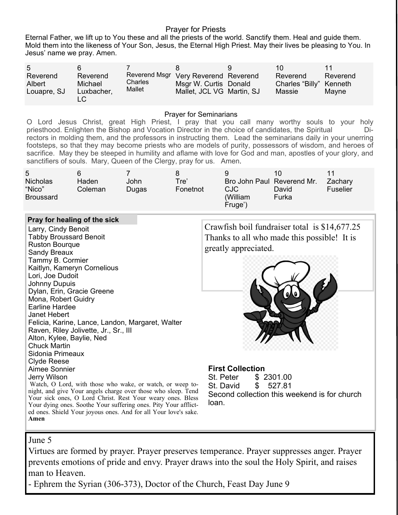## Prayer for Priests

Eternal Father, we lift up to You these and all the priests of the world. Sanctify them. Heal and guide them. Mold them into the likeness of Your Son, Jesus, the Eternal High Priest. May their lives be pleasing to You. In Jesus' name we pray. Amen.

| $5^{\circ}$<br>Reverend<br>Albert<br>Louapre, SJ | 6<br>Reverend<br>Michael<br>Luxbacher, | Charles<br>Mallet | Reverend Msgr Very Reverend Reverend<br>Msgr W. Curtis Donald<br>Mallet, JCL VG Martin, SJ |  | 10<br>Reverend<br>Charles "Billy" Kenneth<br>Massie | Reverend<br>Mayne |
|--------------------------------------------------|----------------------------------------|-------------------|--------------------------------------------------------------------------------------------|--|-----------------------------------------------------|-------------------|
|--------------------------------------------------|----------------------------------------|-------------------|--------------------------------------------------------------------------------------------|--|-----------------------------------------------------|-------------------|

#### Prayer for Seminarians

O Lord Jesus Christ, great High Priest, I pray that you call many worthy souls to your holy priesthood. Enlighten the Bishop and Vocation Director in the choice of candidates, the Spiritual Pietro rectors in molding them, and the professors in instructing them. Lead the seminarians daily in your unerring footsteps, so that they may become priests who are models of purity, possessors of wisdom, and heroes of sacrifice. May they be steeped in humility and aflame with love for God and man, apostles of your glory, and sanctifiers of souls. Mary, Queen of the Clergy, pray for us. Amen.

| 5<br><b>Nicholas</b><br>"Nico"<br>Broussard | Haden<br>Coleman | John<br>Dugas | Tre'<br>Fonetnot | 9<br>Bro John Paul Reverend Mr.<br>CJC<br>(William | 10<br>David<br>Furka | Zachary<br>Fuselier |
|---------------------------------------------|------------------|---------------|------------------|----------------------------------------------------|----------------------|---------------------|
|                                             |                  |               |                  | Fruge')                                            |                      |                     |

#### **Pray for healing of the sick**

Larry, Cindy Benoit Tabby Broussard Benoit Ruston Bourque Sandy Breaux Tammy B. Cormier Kaitlyn, Kameryn Cornelious Lori, Joe Dudoit Johnny Dupuis Dylan, Erin, Gracie Greene Mona, Robert Guidry Earline Hardee Janet Hebert Felicia, Karine, Lance, Landon, Margaret, Walter Raven, Riley Jolivette, Jr., Sr., III Alton, Kylee, Baylie, Ned Chuck Martin Sidonia Primeaux Clyde Reese Aimee Sonnier Jerry Wilson Watch, O Lord, with those who wake, or watch, or weep tonight, and give Your angels charge over those who sleep. Tend

Your sick ones, O Lord Christ. Rest Your weary ones. Bless Your dying ones. Soothe Your suffering ones. Pity Your afflicted ones. Shield Your joyous ones. And for all Your love's sake.

Crawfish boil fundraiser total is \$14,677.25 Thanks to all who made this possible! It is greatly appreciated.



#### **First Collection**

St. Peter \$ 2301.00 St. David \$ 527.81 Second collection this weekend is for church loan.

# June 5

**Amen**

Virtues are formed by prayer. Prayer preserves temperance. Prayer suppresses anger. Prayer prevents emotions of pride and envy. Prayer draws into the soul the Holy Spirit, and raises man to Heaven.

- Ephrem the Syrian (306-373), Doctor of the Church, Feast Day June 9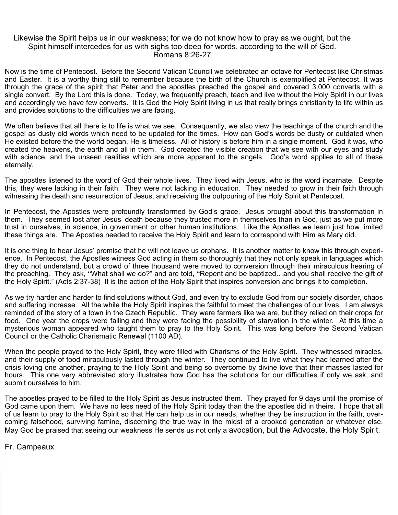#### Likewise the Spirit helps us in our weakness; for we do not know how to pray as we ought, but the Spirit himself intercedes for us with sighs too deep for words. according to the will of God. Romans 8:26-27

Now is the time of Pentecost. Before the Second Vatican Council we celebrated an octave for Pentecost like Christmas and Easter. It is a worthy thing still to remember because the birth of the Church is exemplified at Pentecost. It was through the grace of the spirit that Peter and the apostles preached the gospel and covered 3,000 converts with a single convert. By the Lord this is done. Today, we frequently preach, teach and live without the Holy Spirit in our lives and accordingly we have few converts. It is God the Holy Spirit living in us that really brings christianity to life within us and provides solutions to the difficulties we are facing.

We often believe that all there is to life is what we see. Consequently, we also view the teachings of the church and the gospel as dusty old words which need to be updated for the times. How can God's words be dusty or outdated when He existed before the the world began. He is timeless. All of history is before him in a single moment. God it was, who created the heavens, the earth and all in them. God created the visible creation that we see with our eyes and study with science, and the unseen realities which are more apparent to the angels. God's word applies to all of these eternally.

The apostles listened to the word of God their whole lives. They lived with Jesus, who is the word incarnate. Despite this, they were lacking in their faith. They were not lacking in education. They needed to grow in their faith through witnessing the death and resurrection of Jesus, and receiving the outpouring of the Holy Spirit at Pentecost.

In Pentecost, the Apostles were profoundly transformed by God's grace. Jesus brought about this transformation in them. They seemed lost after Jesus' death because they trusted more in themselves than in God, just as we put more trust in ourselves, in science, in government or other human institutions. Like the Apostles we learn just how limited these things are. The Apostles needed to receive the Holy Spirit and learn to correspond with Him as Mary did.

It is one thing to hear Jesus' promise that he will not leave us orphans. It is another matter to know this through experience. In Pentecost, the Apostles witness God acting in them so thoroughly that they not only speak in languages which they do not understand, but a crowd of three thousand were moved to conversion through their miraculous hearing of the preaching. They ask, "What shall we do?" and are told, "Repent and be baptized…and you shall receive the gift of the Holy Spirit." (Acts 2:37-38) It is the action of the Holy Spirit that inspires conversion and brings it to completion.

As we try harder and harder to find solutions without God, and even try to exclude God from our society disorder, chaos and suffering increase. All the while the Holy Spirit inspires the faithful to meet the challenges of our lives. I am always reminded of the story of a town in the Czech Republic. They were farmers like we are, but they relied on their crops for food. One year the crops were failing and they were facing the possibility of starvation in the winter. At this time a mysterious woman appeared who taught them to pray to the Holy Spirit. This was long before the Second Vatican Council or the Catholic Charismatic Renewal (1100 AD).

When the people prayed to the Holy Spirit, they were filled with Charisms of the Holy Spirit. They witnessed miracles, and their supply of food miraculously lasted through the winter. They continued to live what they had learned after the crisis loving one another, praying to the Holy Spirit and being so overcome by divine love that their masses lasted for hours. This one very abbreviated story illustrates how God has the solutions for our difficulties if only we ask, and submit ourselves to him.

The apostles prayed to be filled to the Holy Spirit as Jesus instructed them. They prayed for 9 days until the promise of God came upon them. We have no less need of the Holy Spirit today than the the apostles did in theirs. I hope that all of us learn to pray to the Holy Spirit so that He can help us in our needs, whether they be instruction in the faith, overcoming falsehood, surviving famine, discerning the true way in the midst of a crooked generation or whatever else. May God be praised that seeing our weakness He sends us not only a avocation, but the Advocate, the Holy Spirit.

Fr. Campeaux